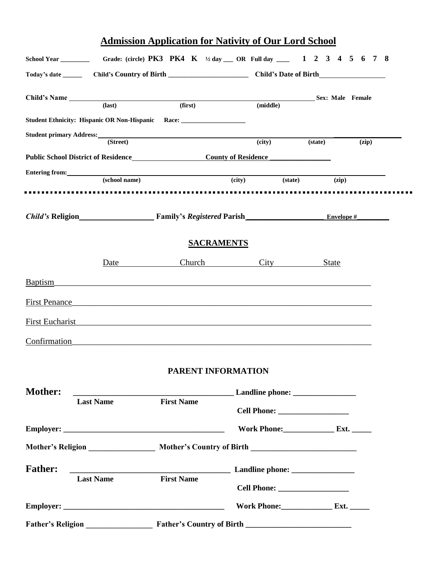# **Admission Application for Nativity of Our Lord School**

|                                     |                                                                                                                                                                                                                                                 | Today's date __________ Child's Country of Birth ________________________________ Child's Date of Birth                                                                                                                            |                                   |              |                  |  |
|-------------------------------------|-------------------------------------------------------------------------------------------------------------------------------------------------------------------------------------------------------------------------------------------------|------------------------------------------------------------------------------------------------------------------------------------------------------------------------------------------------------------------------------------|-----------------------------------|--------------|------------------|--|
| Child's Name (last) (first) (first) |                                                                                                                                                                                                                                                 |                                                                                                                                                                                                                                    | (middle)                          |              | Sex: Male Female |  |
|                                     |                                                                                                                                                                                                                                                 | Student Ethnicity: Hispanic OR Non-Hispanic Race: ______________________________                                                                                                                                                   |                                   |              |                  |  |
|                                     | (T <sub>1</sub> )                                                                                                                                                                                                                               | Student primary Address: No. 1996. The Student Primary Address:                                                                                                                                                                    |                                   |              |                  |  |
|                                     |                                                                                                                                                                                                                                                 |                                                                                                                                                                                                                                    | (city)                            | (state)      | (zip)            |  |
|                                     |                                                                                                                                                                                                                                                 | Public School District of Residence<br>County of Residence                                                                                                                                                                         |                                   |              |                  |  |
|                                     | Entering from: Notice of the state of the state of the state of the state of the state of the state of the state of the state of the state of the state of the state of the state of the state of the state of the state of th<br>(school name) |                                                                                                                                                                                                                                    | (city)<br>(state)                 | (zip)        |                  |  |
|                                     |                                                                                                                                                                                                                                                 |                                                                                                                                                                                                                                    |                                   |              |                  |  |
|                                     |                                                                                                                                                                                                                                                 | Child's Religion <b>Example 3</b> Family's Registered Parish <b>Example 3</b> Envelope # <b>Example 3</b>                                                                                                                          |                                   |              |                  |  |
|                                     |                                                                                                                                                                                                                                                 | <b>SACRAMENTS</b>                                                                                                                                                                                                                  |                                   |              |                  |  |
|                                     | <b>Date</b>                                                                                                                                                                                                                                     |                                                                                                                                                                                                                                    | Church City                       | <b>State</b> |                  |  |
| Baptism                             |                                                                                                                                                                                                                                                 |                                                                                                                                                                                                                                    |                                   |              |                  |  |
|                                     |                                                                                                                                                                                                                                                 | First Penance <u>Communications</u> and the set of the set of the set of the set of the set of the set of the set of the set of the set of the set of the set of the set of the set of the set of the set of the set of the set of |                                   |              |                  |  |
| <b>First Eucharist</b>              |                                                                                                                                                                                                                                                 | <u> 1980 - Jan Barat, marka masjid a shekara ta 1980 a shekara ta 1980 a shekara ta 1980 a shekara ta 1980 a sheka</u>                                                                                                             |                                   |              |                  |  |
| Confirmation                        |                                                                                                                                                                                                                                                 | <u> 1990 - Jan Barbara (h. 1980).</u><br>1901 - Johann Barbara, frantziar martxar (h. 1902).                                                                                                                                       |                                   |              |                  |  |
|                                     |                                                                                                                                                                                                                                                 | <b>PARENT INFORMATION</b>                                                                                                                                                                                                          |                                   |              |                  |  |
| <b>Mother:</b>                      |                                                                                                                                                                                                                                                 |                                                                                                                                                                                                                                    | Landline phone: _________________ |              |                  |  |
|                                     | <b>Last Name</b>                                                                                                                                                                                                                                | <b>First Name</b>                                                                                                                                                                                                                  |                                   |              |                  |  |
|                                     |                                                                                                                                                                                                                                                 |                                                                                                                                                                                                                                    | Work Phone: Ext.                  |              |                  |  |
|                                     |                                                                                                                                                                                                                                                 |                                                                                                                                                                                                                                    |                                   |              |                  |  |
| <b>Father:</b>                      |                                                                                                                                                                                                                                                 |                                                                                                                                                                                                                                    |                                   |              |                  |  |
|                                     | <b>Last Name</b>                                                                                                                                                                                                                                | <b>First Name</b>                                                                                                                                                                                                                  |                                   |              |                  |  |
|                                     |                                                                                                                                                                                                                                                 |                                                                                                                                                                                                                                    | Work Phone: Ext.                  |              |                  |  |
|                                     |                                                                                                                                                                                                                                                 |                                                                                                                                                                                                                                    |                                   |              |                  |  |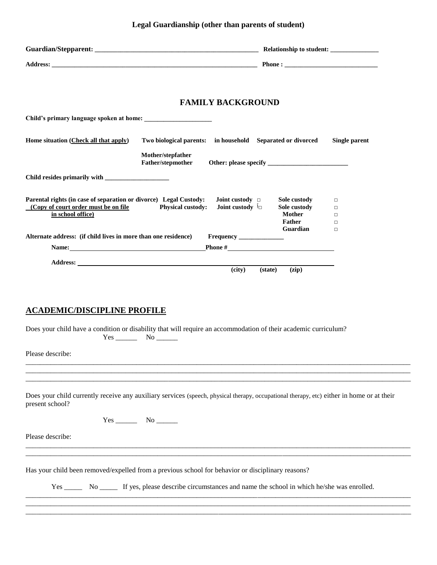# **Legal Guardianship (other than parents of student)**

|                                                                                                                                                                                                                                      |                                                            | <b>FAMILY BACKGROUND</b>                                   |                                                         |                                      |  |
|--------------------------------------------------------------------------------------------------------------------------------------------------------------------------------------------------------------------------------------|------------------------------------------------------------|------------------------------------------------------------|---------------------------------------------------------|--------------------------------------|--|
|                                                                                                                                                                                                                                      |                                                            |                                                            |                                                         |                                      |  |
| Home situation (Check all that apply)                                                                                                                                                                                                | Two biological parents: in household Separated or divorced |                                                            |                                                         | <b>Single parent</b>                 |  |
|                                                                                                                                                                                                                                      | Mother/stepfather<br>Father/stepmother                     |                                                            |                                                         |                                      |  |
|                                                                                                                                                                                                                                      |                                                            |                                                            |                                                         |                                      |  |
| Parental rights (in case of separation or divorce) Legal Custody:<br>(Copy of court order must be on file<br>in school office)                                                                                                       | <b>Physical custody:</b>                                   | <b>Joint custody</b> $\Box$<br><b>Joint custody</b> $\int$ | Sole custody<br>Sole custody<br><b>Mother</b><br>Father | $\Box$<br>$\Box$<br>$\Box$<br>$\Box$ |  |
| Alternate address: (if child lives in more than one residence)                                                                                                                                                                       |                                                            |                                                            | Guardian                                                | $\Box$                               |  |
| Name: Name: Name: Name: Name: Name: Name: Name: Name: Name: Name: Name: Name: Name: Name: Name: Name: Name: Name: Name: Name: Name: Name: Name: Name: Name: Name: Name: Name: Name: Name: Name: Name: Name: Name: Name: Name:        |                                                            |                                                            | <b>Phone</b> $\#$ <b>Phone</b> $\#$                     |                                      |  |
| Address: <u>New York Street and Street and Street and Street and Street and Street and Street and Street and Street and Street and Street and Street and Street and Street and Street and Street and Street and Street and Stree</u> |                                                            |                                                            |                                                         |                                      |  |
| <b>ACADEMIC/DISCIPLINE PROFILE</b><br>Does your child have a condition or disability that will require an accommodation of their academic curriculum?                                                                                |                                                            |                                                            |                                                         |                                      |  |
| Please describe:                                                                                                                                                                                                                     |                                                            |                                                            |                                                         |                                      |  |
|                                                                                                                                                                                                                                      |                                                            |                                                            |                                                         |                                      |  |
| Does your child currently receive any auxiliary services (speech, physical therapy, occupational therapy, etc) either in home or at their<br>present school?                                                                         |                                                            |                                                            |                                                         |                                      |  |
|                                                                                                                                                                                                                                      |                                                            |                                                            |                                                         |                                      |  |
| Please describe:                                                                                                                                                                                                                     |                                                            |                                                            |                                                         |                                      |  |
|                                                                                                                                                                                                                                      |                                                            |                                                            |                                                         |                                      |  |
| Has your child been removed/expelled from a previous school for behavior or disciplinary reasons?                                                                                                                                    |                                                            |                                                            |                                                         |                                      |  |
| Yes ________ No ________ If yes, please describe circumstances and name the school in which he/she was enrolled.                                                                                                                     |                                                            |                                                            |                                                         |                                      |  |
|                                                                                                                                                                                                                                      |                                                            |                                                            |                                                         |                                      |  |

\_\_\_\_\_\_\_\_\_\_\_\_\_\_\_\_\_\_\_\_\_\_\_\_\_\_\_\_\_\_\_\_\_\_\_\_\_\_\_\_\_\_\_\_\_\_\_\_\_\_\_\_\_\_\_\_\_\_\_\_\_\_\_\_\_\_\_\_\_\_\_\_\_\_\_\_\_\_\_\_\_\_\_\_\_\_\_\_\_\_\_\_\_\_\_\_\_\_\_\_\_\_\_\_\_\_\_\_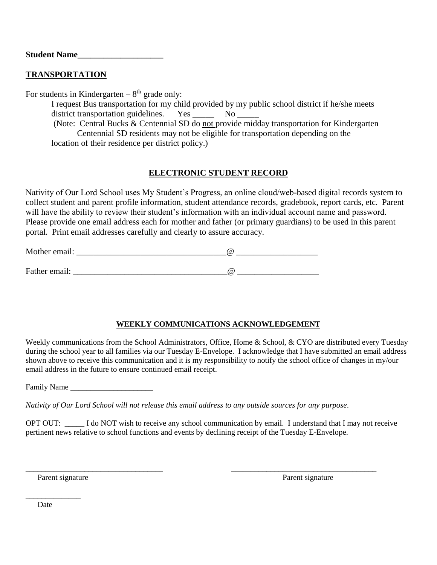**Student Name\_\_\_\_\_\_\_\_\_\_\_\_\_\_\_\_\_\_\_\_**

## **TRANSPORTATION**

For students in Kindergarten  $-8<sup>th</sup>$  grade only:

I request Bus transportation for my child provided by my public school district if he/she meets district transportation guidelines. Yes \_\_\_\_\_\_\_ No \_

(Note: Central Bucks & Centennial SD do not provide midday transportation for Kindergarten Centennial SD residents may not be eligible for transportation depending on the location of their residence per district policy.)

# **ELECTRONIC STUDENT RECORD**

Nativity of Our Lord School uses My Student's Progress, an online cloud/web-based digital records system to collect student and parent profile information, student attendance records, gradebook, report cards, etc. Parent will have the ability to review their student's information with an individual account name and password. Please provide one email address each for mother and father (or primary guardians) to be used in this parent portal. Print email addresses carefully and clearly to assure accuracy.

| Mother email: | (a |
|---------------|----|
|               |    |
| Father email: | (a |

## **WEEKLY COMMUNICATIONS ACKNOWLEDGEMENT**

Weekly communications from the School Administrators, Office, Home & School, & CYO are distributed every Tuesday during the school year to all families via our Tuesday E-Envelope. I acknowledge that I have submitted an email address shown above to receive this communication and it is my responsibility to notify the school office of changes in my/our email address in the future to ensure continued email receipt.

Family Name \_\_\_\_\_\_\_\_\_\_\_\_\_\_\_\_\_\_\_\_\_

*Nativity of Our Lord School will not release this email address to any outside sources for any purpose*.

OPT OUT: \_\_\_\_\_ I do NOT wish to receive any school communication by email. I understand that I may not receive pertinent news relative to school functions and events by declining receipt of the Tuesday E-Envelope.

\_\_\_\_\_\_\_\_\_\_\_\_\_\_\_\_\_\_\_\_\_\_\_\_\_\_\_\_\_\_\_\_\_\_\_ \_\_\_\_\_\_\_\_\_\_\_\_\_\_\_\_\_\_\_\_\_\_\_\_\_\_\_\_\_\_\_\_\_\_\_\_\_

Parent signature Parent signature Parent signature Parent signature

Date

\_\_\_\_\_\_\_\_\_\_\_\_\_\_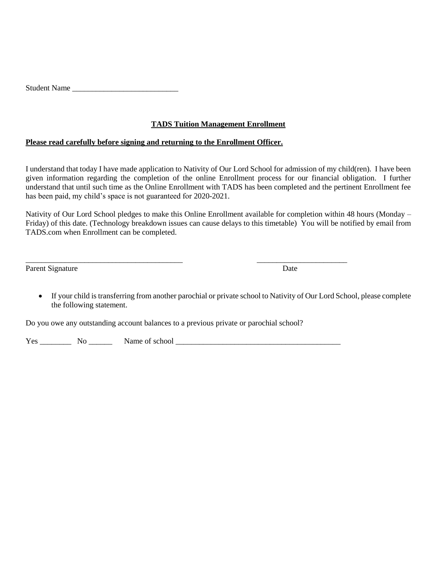| <b>Student Name</b> |  |
|---------------------|--|
|---------------------|--|

### **TADS Tuition Management Enrollment**

#### **Please read carefully before signing and returning to the Enrollment Officer.**

I understand that today I have made application to Nativity of Our Lord School for admission of my child(ren). I have been given information regarding the completion of the online Enrollment process for our financial obligation. I further understand that until such time as the Online Enrollment with TADS has been completed and the pertinent Enrollment fee has been paid, my child's space is not guaranteed for 2020-2021.

Nativity of Our Lord School pledges to make this Online Enrollment available for completion within 48 hours (Monday – Friday) of this date. (Technology breakdown issues can cause delays to this timetable) You will be notified by email from TADS.com when Enrollment can be completed.

Parent Signature Date

 If your child is transferring from another parochial or private school to Nativity of Our Lord School, please complete the following statement.

Do you owe any outstanding account balances to a previous private or parochial school?

\_\_\_\_\_\_\_\_\_\_\_\_\_\_\_\_\_\_\_\_\_\_\_\_\_\_\_\_\_\_\_\_\_\_\_\_\_\_\_\_ \_\_\_\_\_\_\_\_\_\_\_\_\_\_\_\_\_\_\_\_\_\_\_

Yes \_\_\_\_\_\_\_\_ No \_\_\_\_\_\_ Name of school \_\_\_\_\_\_\_\_\_\_\_\_\_\_\_\_\_\_\_\_\_\_\_\_\_\_\_\_\_\_\_\_\_\_\_\_\_\_\_\_\_\_